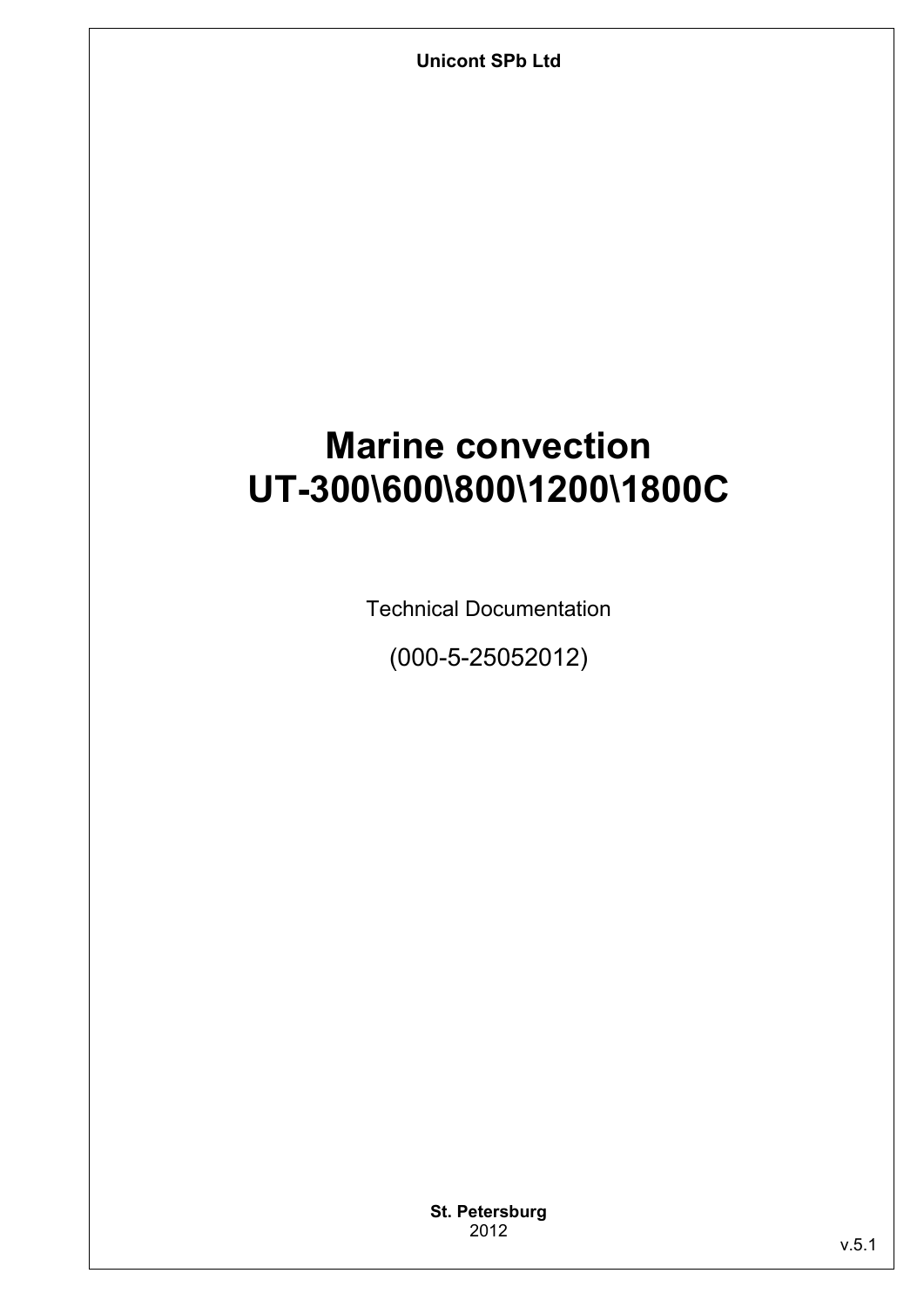**Unicont SPb Ltd** 

## **Marine convection UT-300\600\800\1200\1800C**

Technical Documentation

(000-5-25052012)

**St. Petersburg** 2012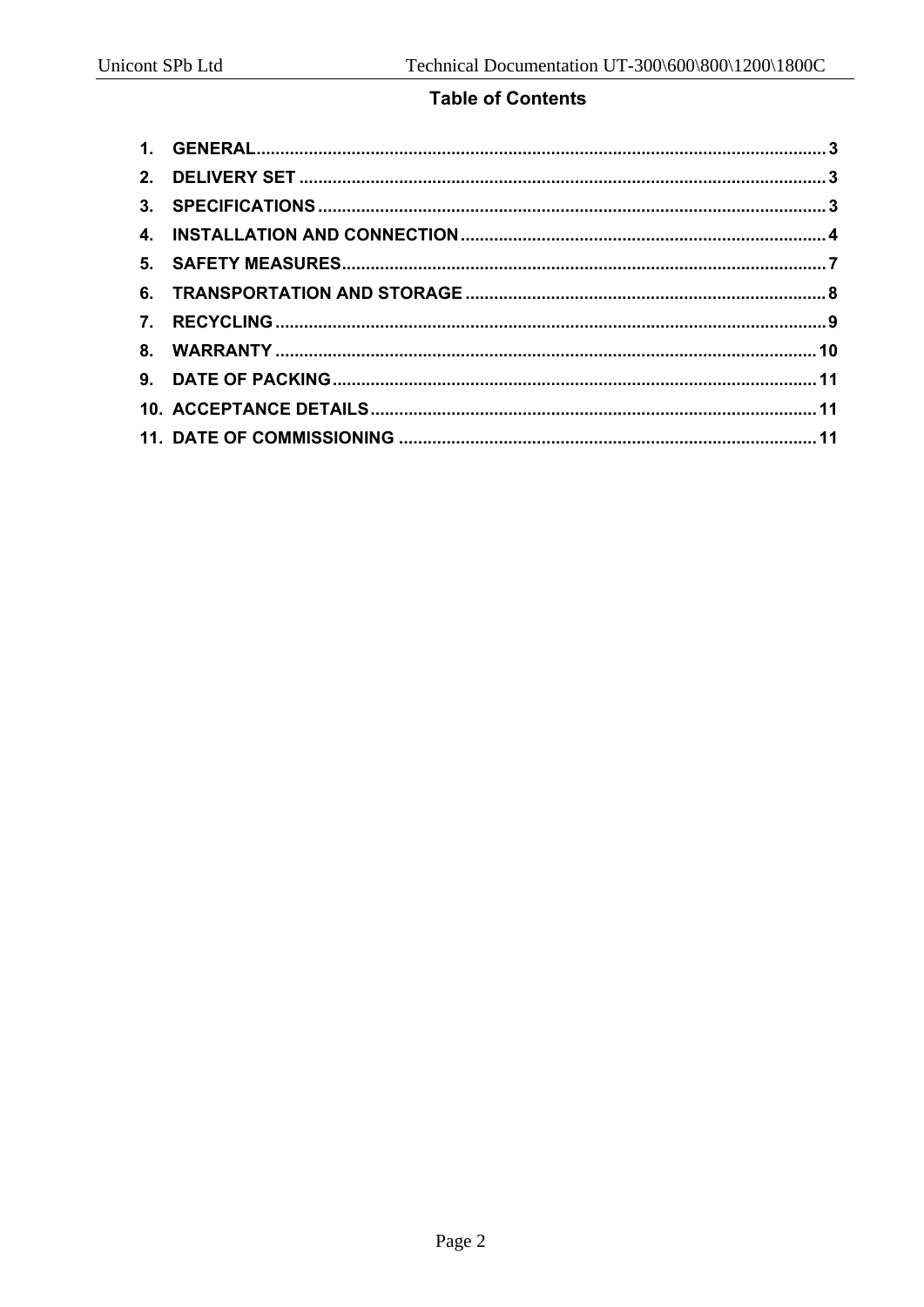#### **Table of Contents**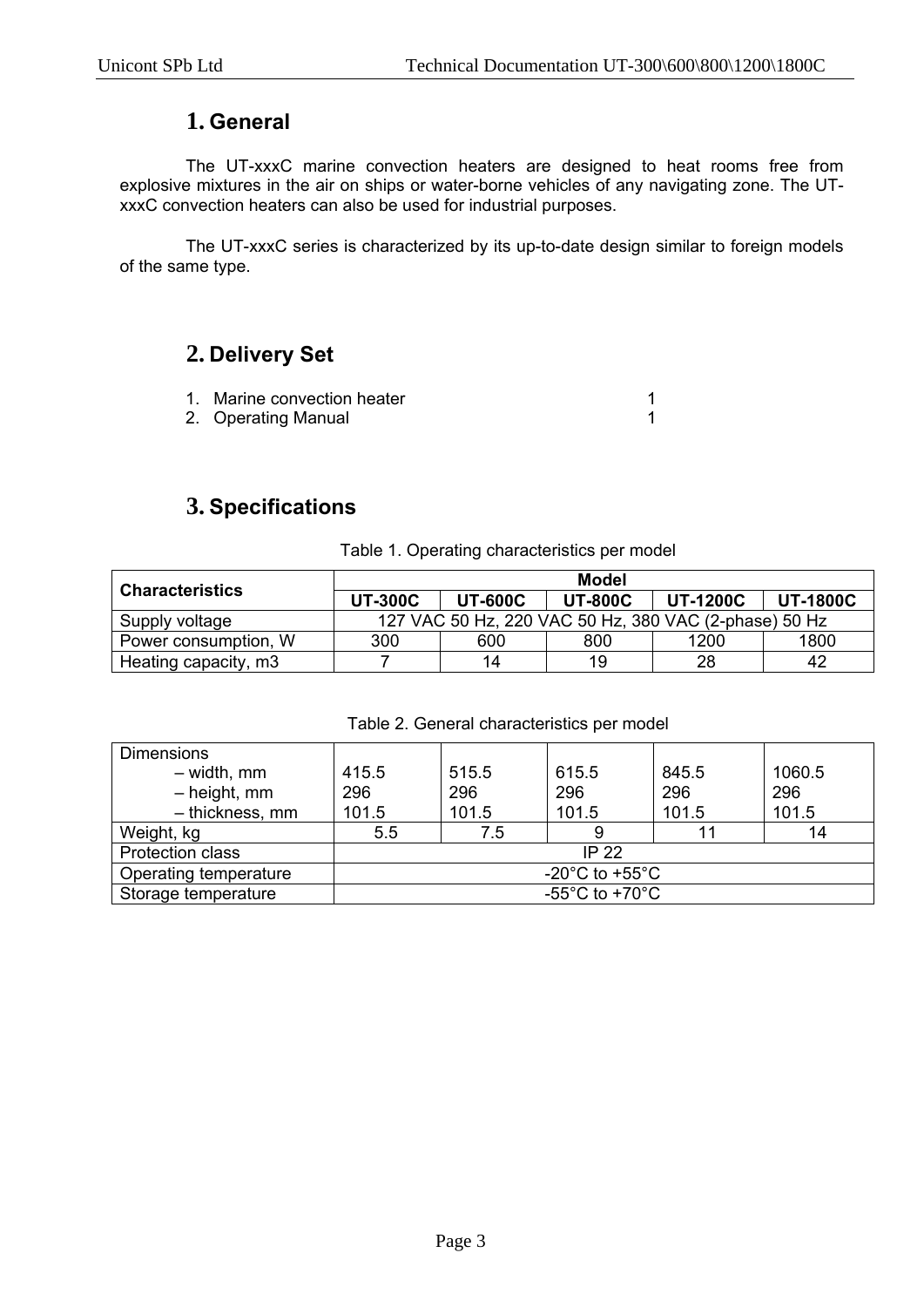## **1. General**

The UT-xxxC marine convection heaters are designed to heat rooms free from explosive mixtures in the air on ships or water-borne vehicles of any navigating zone. The UTxxxC convection heaters can also be used for industrial purposes.

The UT-xxxC series is characterized by its up-to-date design similar to foreign models of the same type.

## **2. Delivery Set**

- 1. Marine convection heater 1
- 2. Operating Manual 2. Contract 1

# **3. Specifications**

#### Table 1. Operating characteristics per model

| <b>Characteristics</b> | Model                                                 |                |                |                 |                 |  |
|------------------------|-------------------------------------------------------|----------------|----------------|-----------------|-----------------|--|
|                        | <b>UT-300C</b>                                        | <b>UT-600C</b> | <b>UT-800C</b> | <b>UT-1200C</b> | <b>UT-1800C</b> |  |
| Supply voltage         | 127 VAC 50 Hz, 220 VAC 50 Hz, 380 VAC (2-phase) 50 Hz |                |                |                 |                 |  |
| Power consumption, W   | 300                                                   | 600            | 800            | 1200            | 1800            |  |
| Heating capacity, m3   |                                                       | 14             | 19             | 28              | 42              |  |

| Table 2. General characteristics per model |  |
|--------------------------------------------|--|
|                                            |  |

| <b>Dimensions</b>       |                                      |       |       |       |        |
|-------------------------|--------------------------------------|-------|-------|-------|--------|
| $-$ width, mm           | 415.5                                | 515.5 | 615.5 | 845.5 | 1060.5 |
| $-$ height, mm          | 296                                  | 296   | 296   | 296   | 296    |
| - thickness, mm         | 101.5                                | 101.5 | 101.5 | 101.5 | 101.5  |
| Weight, kg              | 5.5                                  | 7.5   |       | 11    | 14     |
| <b>Protection class</b> | IP $22$                              |       |       |       |        |
| Operating temperature   | -20 $^{\circ}$ C to +55 $^{\circ}$ C |       |       |       |        |
| Storage temperature     | -55 $^{\circ}$ C to +70 $^{\circ}$ C |       |       |       |        |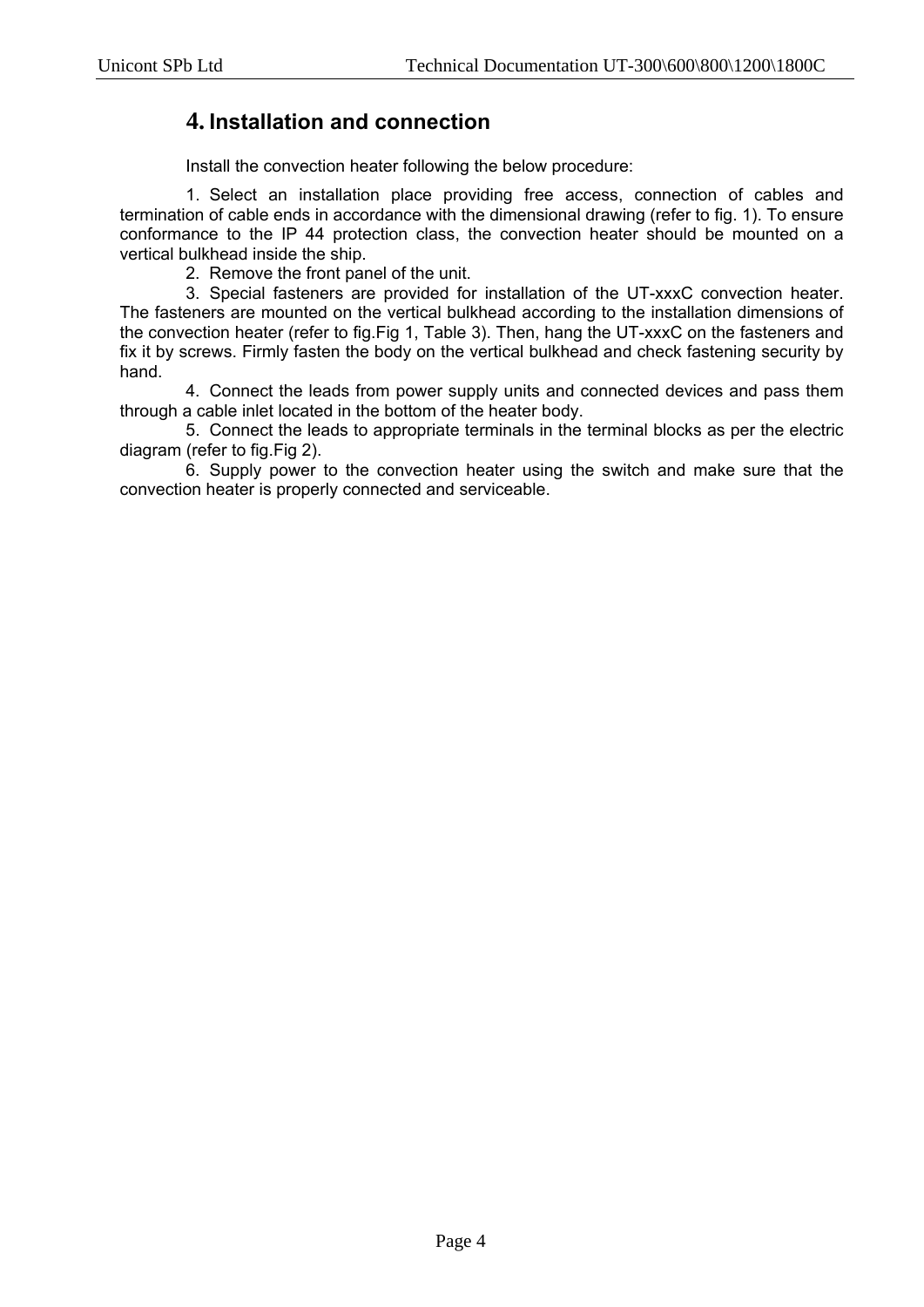## **4. Installation and connection**

Install the convection heater following the below procedure:

1. Select an installation place providing free access, connection of cables and termination of cable ends in accordance with the dimensional drawing (refer to fig. 1). To ensure conformance to the IP 44 protection class, the convection heater should be mounted on a vertical bulkhead inside the ship.

2. Remove the front panel of the unit.

3. Special fasteners are provided for installation of the UT-xxxC convection heater. The fasteners are mounted on the vertical bulkhead according to the installation dimensions of the convection heater (refer to fig.Fig 1, Table 3). Then, hang the UT-xxxC on the fasteners and fix it by screws. Firmly fasten the body on the vertical bulkhead and check fastening security by hand.

4. Connect the leads from power supply units and connected devices and pass them through a cable inlet located in the bottom of the heater body.

5. Connect the leads to appropriate terminals in the terminal blocks as per the electric diagram (refer to fig.Fig 2).

6. Supply power to the convection heater using the switch and make sure that the convection heater is properly connected and serviceable.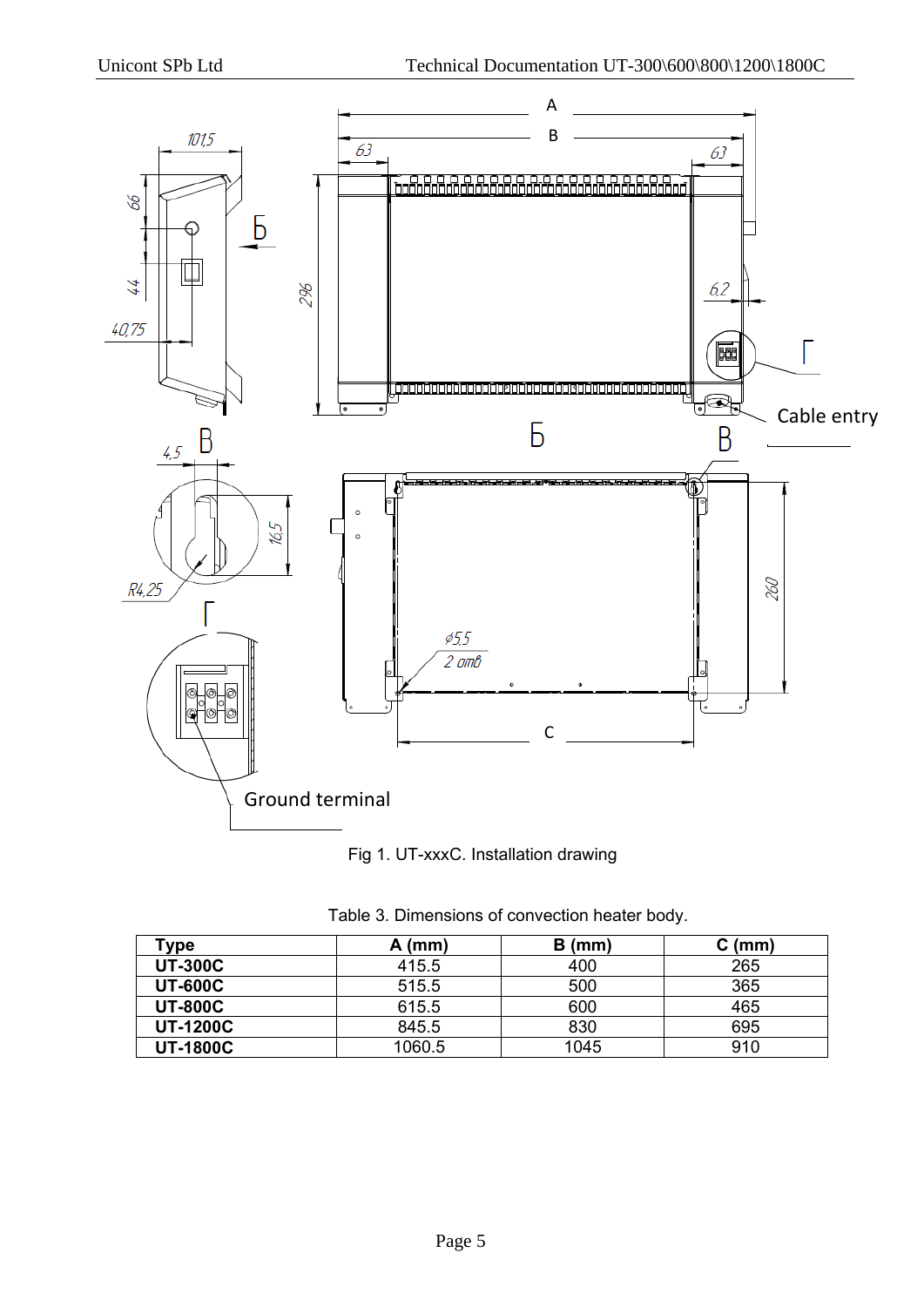



|  | Table 3. Dimensions of convection heater body. |  |  |  |  |
|--|------------------------------------------------|--|--|--|--|
|--|------------------------------------------------|--|--|--|--|

| "ype            | A (mm) | $B$ (mm) | C (mm) |
|-----------------|--------|----------|--------|
| <b>UT-300C</b>  | 415.5  | 400      | 265    |
| <b>UT-600C</b>  | 515.5  | 500      | 365    |
| <b>UT-800C</b>  | 615.5  | 600      | 465    |
| <b>UT-1200C</b> | 845.5  | 830      | 695    |
| <b>UT-1800C</b> | 1060.5 | 1045     | 910    |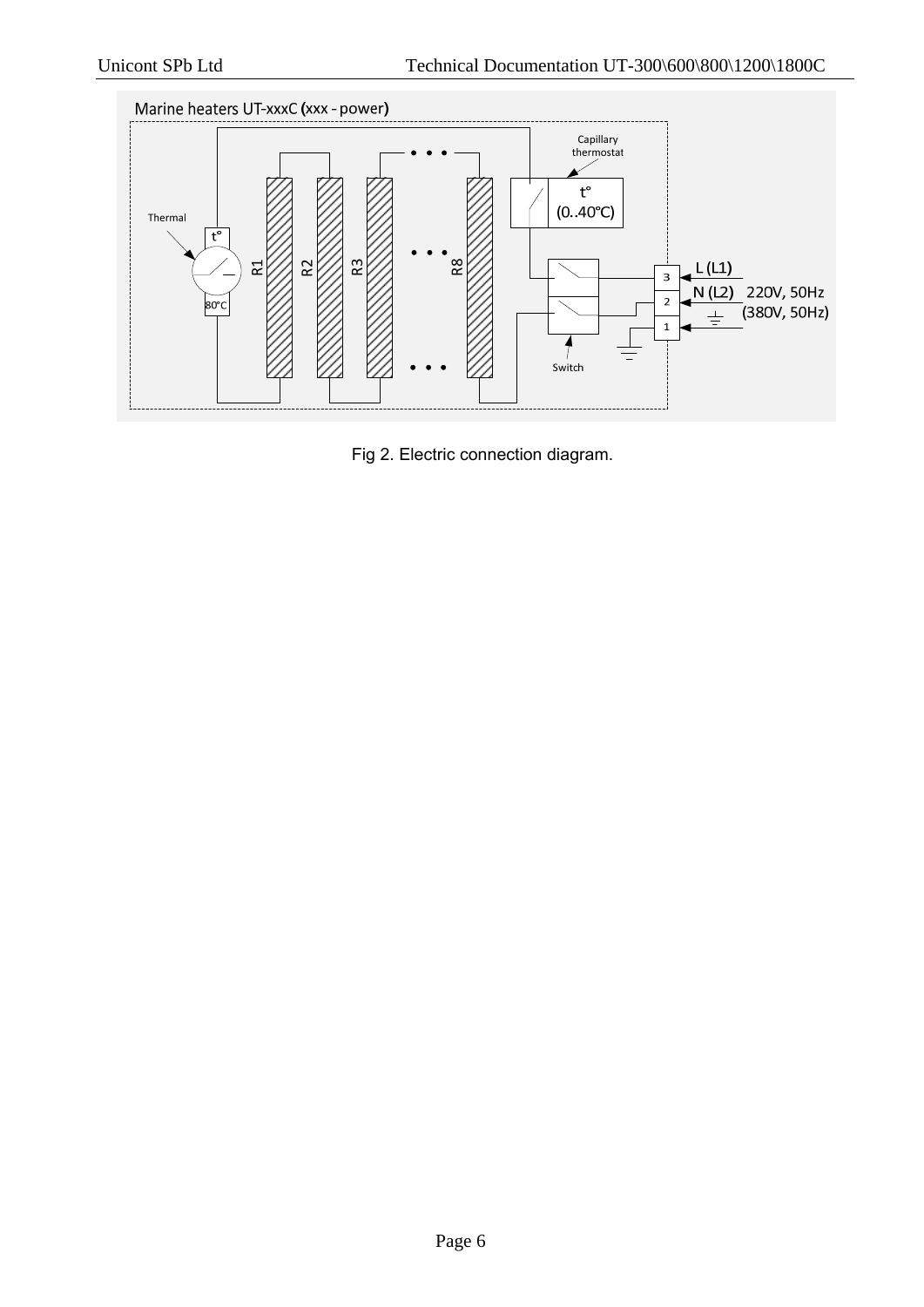

Fig 2. Electric connection diagram.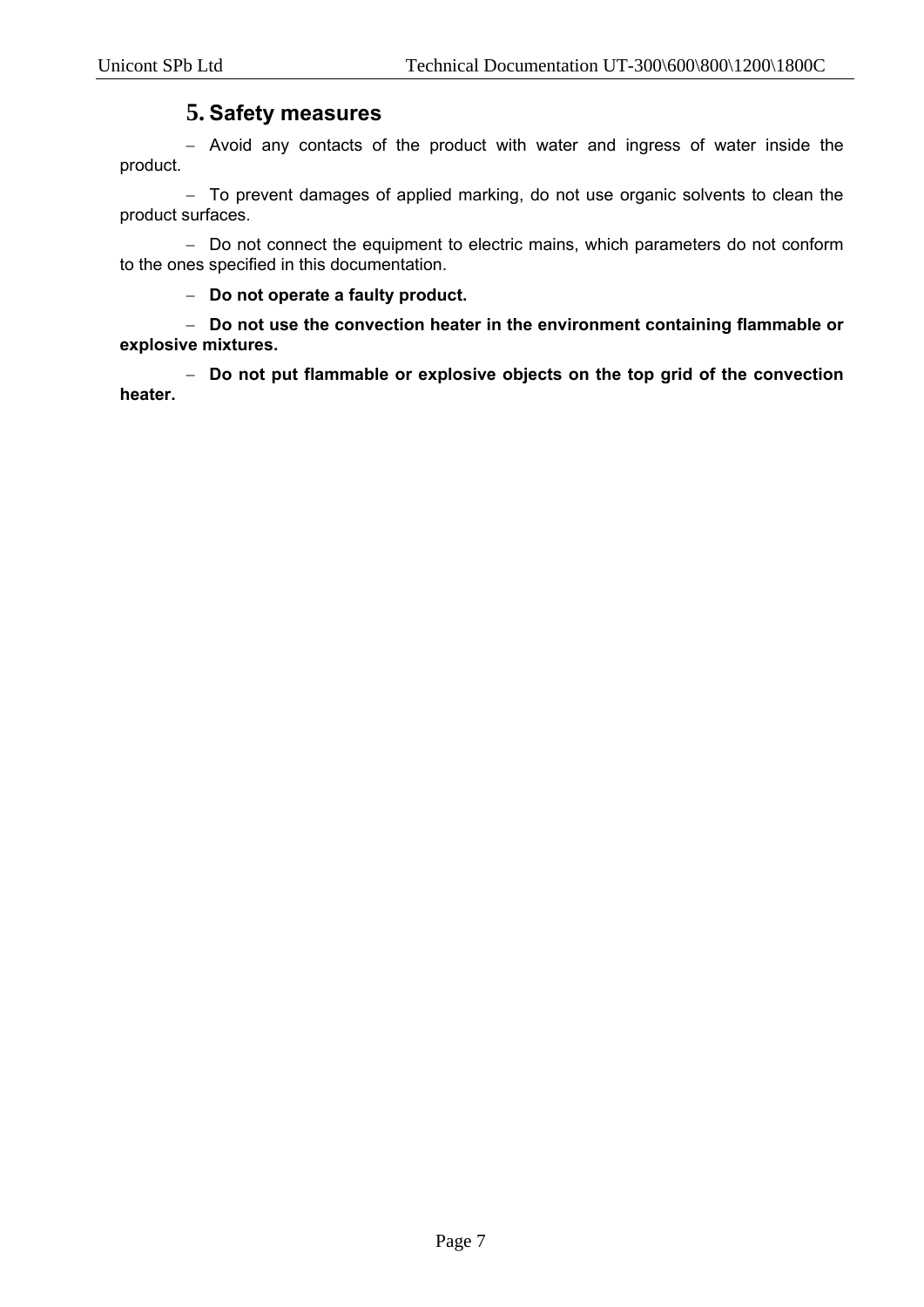#### **5. Safety measures**

- Avoid any contacts of the product with water and ingress of water inside the product.

- To prevent damages of applied marking, do not use organic solvents to clean the product surfaces.

- Do not connect the equipment to electric mains, which parameters do not conform to the ones specified in this documentation.

**Do not operate a faulty product.** 

 **Do not use the convection heater in the environment containing flammable or explosive mixtures.** 

 **Do not put flammable or explosive objects on the top grid of the convection heater.**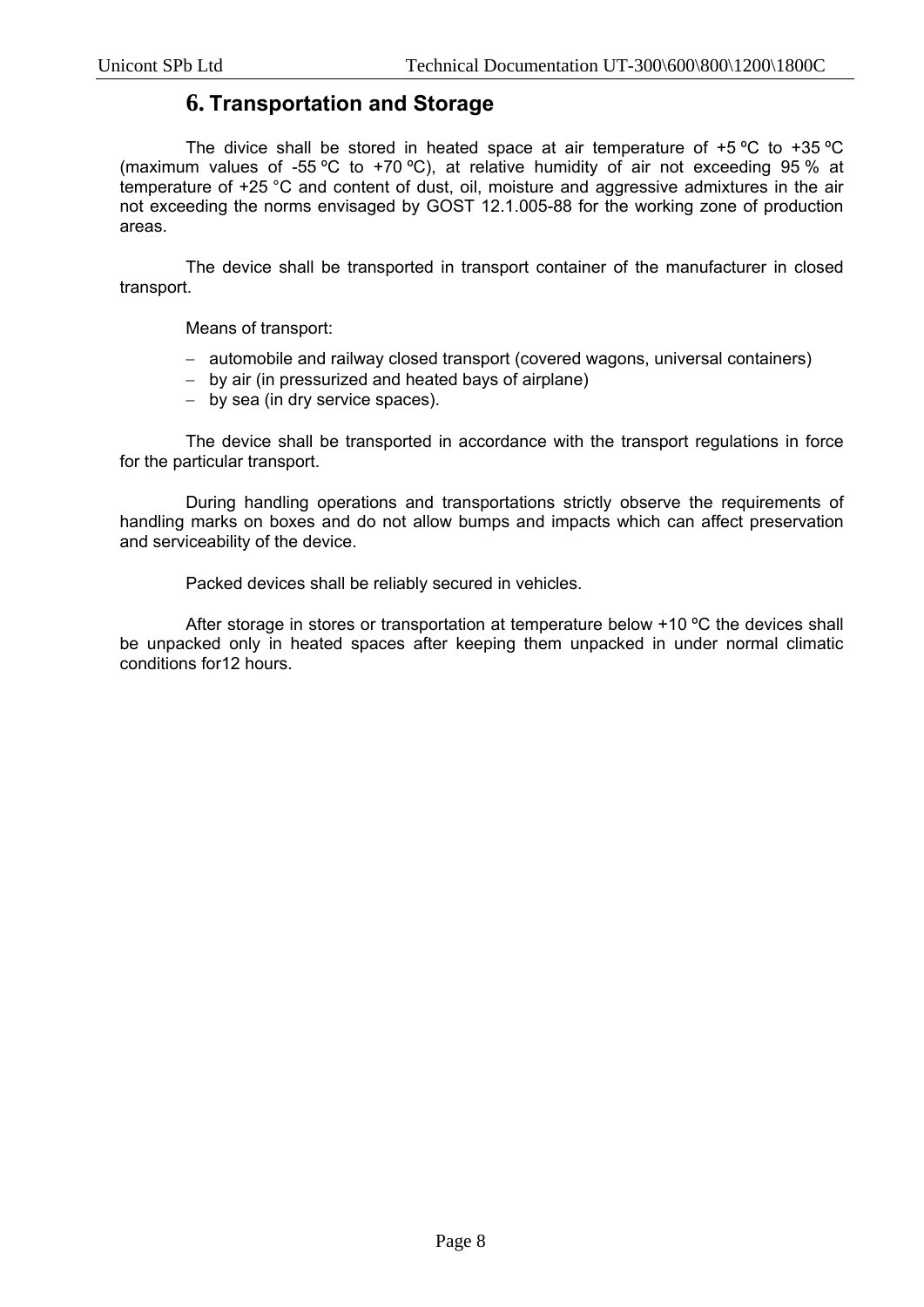#### **6. Transportation and Storage**

The divice shall be stored in heated space at air temperature of +5 ºС to +35 ºС (maximum values of -55 °C to +70 °C), at relative humidity of air not exceeding 95 % at temperature of +25 °C and content of dust, oil, moisture and aggressive admixtures in the air not exceeding the norms envisaged by GOST 12.1.005-88 for the working zone of production areas.

The device shall be transported in transport container of the manufacturer in closed transport.

Means of transport:

- automobile and railway closed transport (covered wagons, universal containers)
- by air (in pressurized and heated bays of airplane)
- by sea (in dry service spaces).

The device shall be transported in accordance with the transport regulations in force for the particular transport.

During handling operations and transportations strictly observe the requirements of handling marks on boxes and do not allow bumps and impacts which can affect preservation and serviceability of the device.

Packed devices shall be reliably secured in vehicles.

After storage in stores or transportation at temperature below +10 °C the devices shall be unpacked only in heated spaces after keeping them unpacked in under normal climatic conditions for12 hours.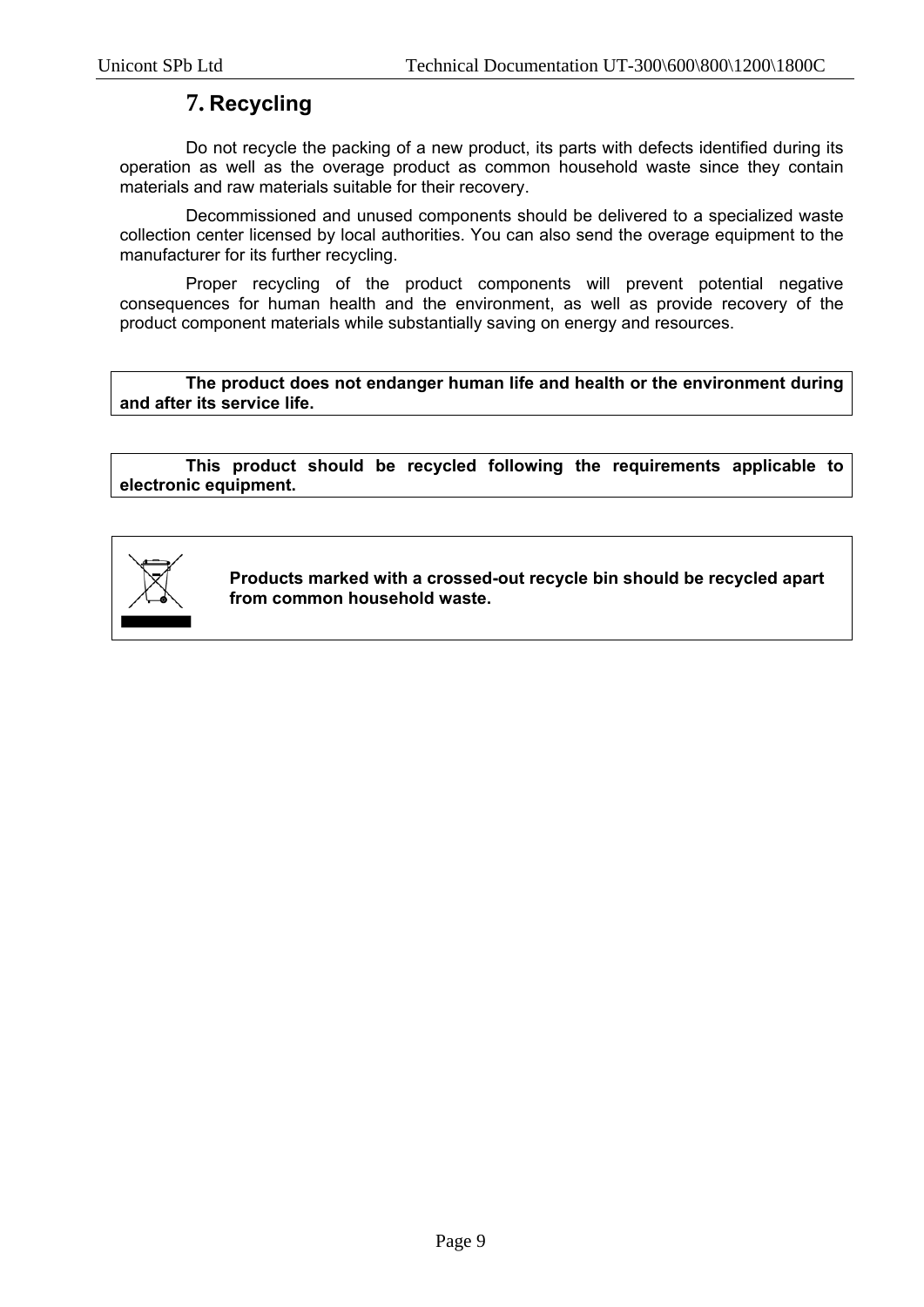#### **7. Recycling**

Do not recycle the packing of a new product, its parts with defects identified during its operation as well as the overage product as common household waste since they contain materials and raw materials suitable for their recovery.

Decommissioned and unused components should be delivered to a specialized waste collection center licensed by local authorities. You can also send the overage equipment to the manufacturer for its further recycling.

Proper recycling of the product components will prevent potential negative consequences for human health and the environment, as well as provide recovery of the product component materials while substantially saving on energy and resources.

**The product does not endanger human life and health or the environment during and after its service life.** 

**This product should be recycled following the requirements applicable to electronic equipment.** 



**Products marked with a crossed-out recycle bin should be recycled apart from common household waste.**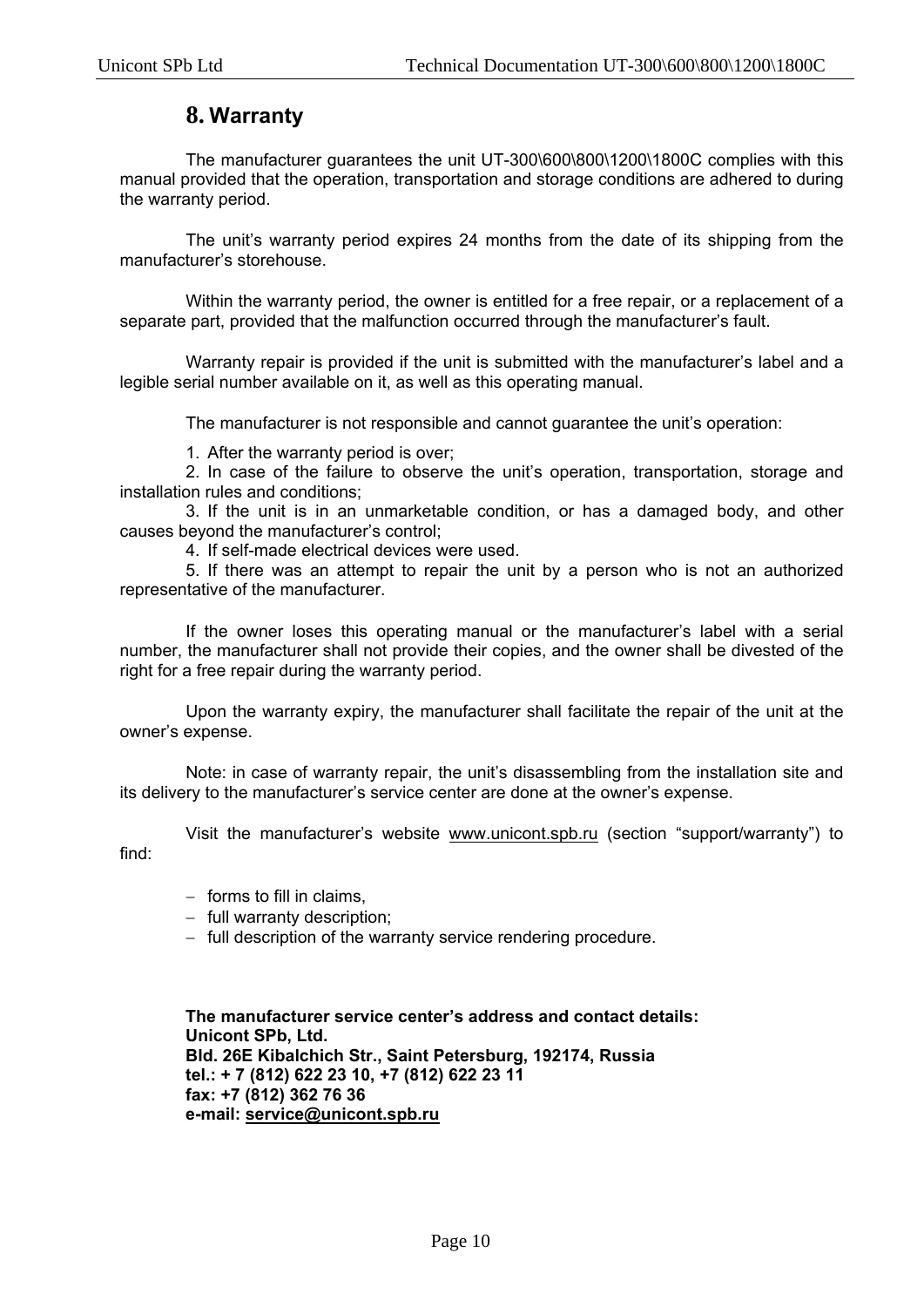#### **8. Warranty**

The manufacturer guarantees the unit UT-300\600\800\1200\1800C complies with this manual provided that the operation, transportation and storage conditions are adhered to during the warranty period.

The unit's warranty period expires 24 months from the date of its shipping from the manufacturer's storehouse.

Within the warranty period, the owner is entitled for a free repair, or a replacement of a separate part, provided that the malfunction occurred through the manufacturer's fault.

Warranty repair is provided if the unit is submitted with the manufacturer's label and a legible serial number available on it, as well as this operating manual.

The manufacturer is not responsible and cannot guarantee the unit's operation:

1. After the warranty period is over;

2. In case of the failure to observe the unit's operation, transportation, storage and installation rules and conditions;

3. If the unit is in an unmarketable condition, or has a damaged body, and other causes beyond the manufacturer's control;

4. If self-made electrical devices were used.

5. If there was an attempt to repair the unit by a person who is not an authorized representative of the manufacturer.

If the owner loses this operating manual or the manufacturer's label with a serial number, the manufacturer shall not provide their copies, and the owner shall be divested of the right for a free repair during the warranty period.

Upon the warranty expiry, the manufacturer shall facilitate the repair of the unit at the owner's expense.

Note: in case of warranty repair, the unit's disassembling from the installation site and its delivery to the manufacturer's service center are done at the owner's expense.

Visit the manufacturer's website www.unicont.spb.ru (section "support/warranty") to find:

- $-$  forms to fill in claims.
- $-$  full warranty description;
- full description of the warranty service rendering procedure.

**The manufacturer service center's address and contact details: Unicont SPb, Ltd. Bld. 26Е Kibalchich Str., Saint Petersburg, 192174, Russia tel.: + 7 (812) 622 23 10, +7 (812) 622 23 11 fax: +7 (812) 362 76 36 e-mail: service@unicont.spb.ru**